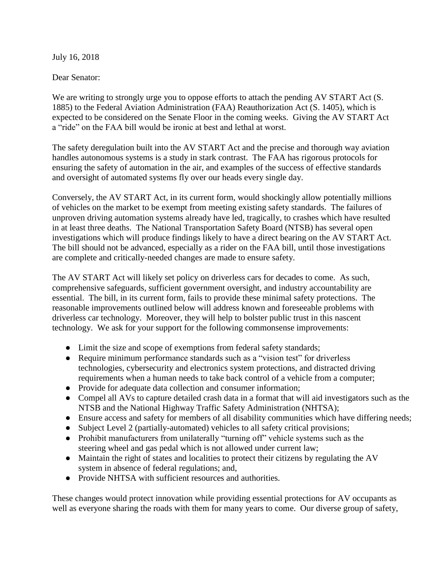July 16, 2018

## Dear Senator:

We are writing to strongly urge you to oppose efforts to attach the pending AV START Act (S. 1885) to the Federal Aviation Administration (FAA) Reauthorization Act (S. 1405), which is expected to be considered on the Senate Floor in the coming weeks. Giving the AV START Act a "ride" on the FAA bill would be ironic at best and lethal at worst.

The safety deregulation built into the AV START Act and the precise and thorough way aviation handles autonomous systems is a study in stark contrast. The FAA has rigorous protocols for ensuring the safety of automation in the air, and examples of the success of effective standards and oversight of automated systems fly over our heads every single day.

Conversely, the AV START Act, in its current form, would shockingly allow potentially millions of vehicles on the market to be exempt from meeting existing safety standards. The failures of unproven driving automation systems already have led, tragically, to crashes which have resulted in at least three deaths. The National Transportation Safety Board (NTSB) has several open investigations which will produce findings likely to have a direct bearing on the AV START Act. The bill should not be advanced, especially as a rider on the FAA bill, until those investigations are complete and critically-needed changes are made to ensure safety.

The AV START Act will likely set policy on driverless cars for decades to come. As such, comprehensive safeguards, sufficient government oversight, and industry accountability are essential. The bill, in its current form, fails to provide these minimal safety protections. The reasonable improvements outlined below will address known and foreseeable problems with driverless car technology. Moreover, they will help to bolster public trust in this nascent technology. We ask for your support for the following commonsense improvements:

- Limit the size and scope of exemptions from federal safety standards;
- Require minimum performance standards such as a "vision test" for driverless technologies, cybersecurity and electronics system protections, and distracted driving requirements when a human needs to take back control of a vehicle from a computer;
- Provide for adequate data collection and consumer information;
- Compel all AVs to capture detailed crash data in a format that will aid investigators such as the NTSB and the National Highway Traffic Safety Administration (NHTSA);
- Ensure access and safety for members of all disability communities which have differing needs;
- Subject Level 2 (partially-automated) vehicles to all safety critical provisions;
- Prohibit manufacturers from unilaterally "turning off" vehicle systems such as the steering wheel and gas pedal which is not allowed under current law;
- Maintain the right of states and localities to protect their citizens by regulating the AV system in absence of federal regulations; and,
- Provide NHTSA with sufficient resources and authorities.

These changes would protect innovation while providing essential protections for AV occupants as well as everyone sharing the roads with them for many years to come. Our diverse group of safety,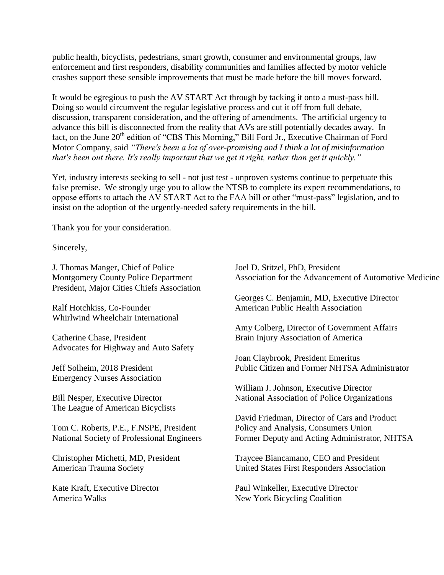public health, bicyclists, pedestrians, smart growth, consumer and environmental groups, law enforcement and first responders, disability communities and families affected by motor vehicle crashes support these sensible improvements that must be made before the bill moves forward.

It would be egregious to push the AV START Act through by tacking it onto a must-pass bill. Doing so would circumvent the regular legislative process and cut it off from full debate, discussion, transparent consideration, and the offering of amendments. The artificial urgency to advance this bill is disconnected from the reality that AVs are still potentially decades away. In fact, on the June 20<sup>th</sup> edition of "CBS This Morning," Bill Ford Jr., Executive Chairman of Ford Motor Company, said *"There's been a lot of over-promising and I think a lot of misinformation that's been out there. It's really important that we get it right, rather than get it quickly."* 

Yet, industry interests seeking to sell - not just test - unproven systems continue to perpetuate this false premise. We strongly urge you to allow the NTSB to complete its expert recommendations, to oppose efforts to attach the AV START Act to the FAA bill or other "must-pass" legislation, and to insist on the adoption of the urgently-needed safety requirements in the bill.

Thank you for your consideration.

Sincerely,

J. Thomas Manger, Chief of Police Joel D. Stitzel, PhD, President President, Major Cities Chiefs Association

Whirlwind Wheelchair International

Catherine Chase, President Brain Injury Association of America Advocates for Highway and Auto Safety

Emergency Nurses Association

The League of American Bicyclists

Tom C. Roberts, P.E., F.NSPE, President Policy and Analysis, Consumers Union

Montgomery County Police Department Association for the Advancement of Automotive Medicine

Georges C. Benjamin, MD, Executive Director Ralf Hotchkiss, Co-Founder American Public Health Association

Amy Colberg, Director of Government Affairs

Joan Claybrook, President Emeritus Jeff Solheim, 2018 President Public Citizen and Former NHTSA Administrator

William J. Johnson, Executive Director Bill Nesper, Executive Director National Association of Police Organizations

David Friedman, Director of Cars and Product National Society of Professional Engineers Former Deputy and Acting Administrator, NHTSA

Christopher Michetti, MD, President Traycee Biancamano, CEO and President American Trauma Society United States First Responders Association

Kate Kraft, Executive Director Paul Winkeller, Executive Director America Walks New York Bicycling Coalition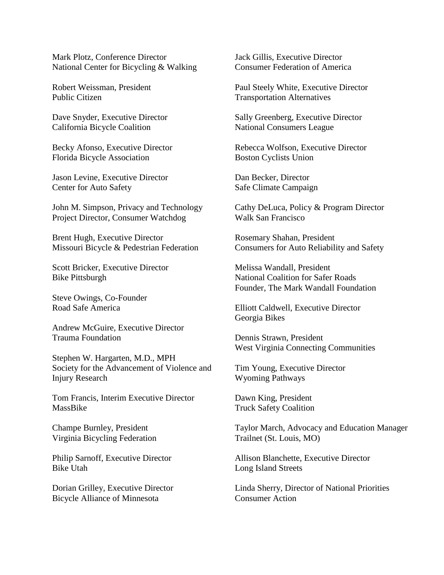Mark Plotz, Conference Director Jack Gillis, Executive Director National Center for Bicycling & Walking Consumer Federation of America

Public Citizen Transportation Alternatives

California Bicycle Coalition National Consumers League

Florida Bicycle Association Boston Cyclists Union

Jason Levine, Executive Director Dan Becker, Director Center for Auto Safety Safe Climate Campaign

Project Director, Consumer Watchdog Walk San Francisco

Brent Hugh, Executive Director Rosemary Shahan, President

Scott Bricker, Executive Director Melissa Wandall, President

Steve Owings, Co-Founder

Andrew McGuire, Executive Director Trauma Foundation Dennis Strawn, President

Stephen W. Hargarten, M.D., MPH Society for the Advancement of Violence and Tim Young, Executive Director Injury Research Wyoming Pathways

Tom Francis, Interim Executive Director Dawn King, President MassBike Truck Safety Coalition

Virginia Bicycling Federation Trailnet (St. Louis, MO)

Bike Utah Long Island Streets

Bicycle Alliance of Minnesota Consumer Action

Robert Weissman, President Paul Steely White, Executive Director

Dave Snyder, Executive Director Sally Greenberg, Executive Director

Becky Afonso, Executive Director Rebecca Wolfson, Executive Director

John M. Simpson, Privacy and Technology Cathy DeLuca, Policy & Program Director

Missouri Bicycle & Pedestrian Federation Consumers for Auto Reliability and Safety

Bike Pittsburgh National Coalition for Safer Roads Founder, The Mark Wandall Foundation

Road Safe America Elliott Caldwell, Executive Director Georgia Bikes

West Virginia Connecting Communities

Champe Burnley, President Taylor March, Advocacy and Education Manager

Philip Sarnoff, Executive Director Allison Blanchette, Executive Director

Dorian Grilley, Executive Director Linda Sherry, Director of National Priorities